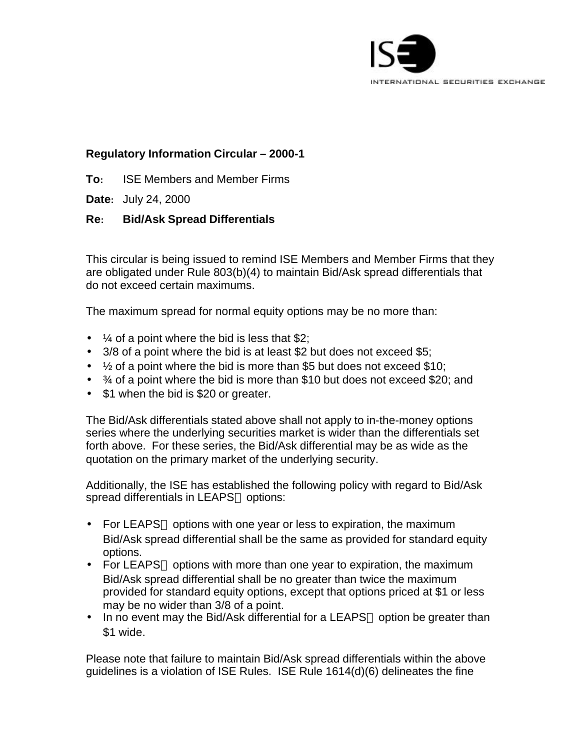

## **Regulatory Information Circular – 2000-1**

**To:** ISE Members and Member Firms

**Date:** July 24, 2000

## **Re: Bid/Ask Spread Differentials**

This circular is being issued to remind ISE Members and Member Firms that they are obligated under Rule 803(b)(4) to maintain Bid/Ask spread differentials that do not exceed certain maximums.

The maximum spread for normal equity options may be no more than:

- $\frac{1}{4}$  of a point where the bid is less that \$2;
- 3/8 of a point where the bid is at least \$2 but does not exceed \$5;
- $\bullet$   $\frac{1}{2}$  of a point where the bid is more than \$5 but does not exceed \$10;
- $\bullet$   $\frac{3}{4}$  of a point where the bid is more than \$10 but does not exceed \$20; and
- \$1 when the bid is \$20 or greater.

The Bid/Ask differentials stated above shall not apply to in-the-money options series where the underlying securities market is wider than the differentials set forth above. For these series, the Bid/Ask differential may be as wide as the quotation on the primary market of the underlying security.

Additionally, the ISE has established the following policy with regard to Bid/Ask spread differentials in LEAPS<sup>®</sup> options:

- For LEAPS $\circledast$  options with one year or less to expiration, the maximum Bid/Ask spread differential shall be the same as provided for standard equity options.
- For LEAPS<sup>®</sup> options with more than one year to expiration, the maximum Bid/Ask spread differential shall be no greater than twice the maximum provided for standard equity options, except that options priced at \$1 or less may be no wider than 3/8 of a point.
- In no event may the Bid/Ask differential for a LEAPS<sup>®</sup> option be greater than \$1 wide.

Please note that failure to maintain Bid/Ask spread differentials within the above guidelines is a violation of ISE Rules. ISE Rule 1614(d)(6) delineates the fine